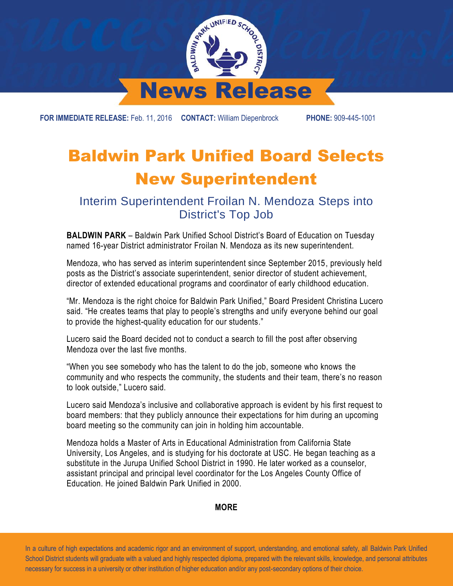

**FOR IMMEDIATE RELEASE:** Feb. 11, 2016 **CONTACT:** William Diepenbrock **PHONE:** 909-445-1001

## Baldwin Park Unified Board Selects New Superintendent

Interim Superintendent Froilan N. Mendoza Steps into District's Top Job

**BALDWIN PARK** – Baldwin Park Unified School District's Board of Education on Tuesday named 16-year District administrator Froilan N. Mendoza as its new superintendent.

Mendoza, who has served as interim superintendent since September 2015, previously held posts as the District's associate superintendent, senior director of student achievement, director of extended educational programs and coordinator of early childhood education.

"Mr. Mendoza is the right choice for Baldwin Park Unified," Board President Christina Lucero said. "He creates teams that play to people's strengths and unify everyone behind our goal to provide the highest-quality education for our students."

Lucero said the Board decided not to conduct a search to fill the post after observing Mendoza over the last five months.

"When you see somebody who has the talent to do the job, someone who knows the community and who respects the community, the students and their team, there's no reason to look outside," Lucero said.

Lucero said Mendoza's inclusive and collaborative approach is evident by his first request to board members: that they publicly announce their expectations for him during an upcoming board meeting so the community can join in holding him accountable.

Mendoza holds a Master of Arts in Educational Administration from California State University, Los Angeles, and is studying for his doctorate at USC. He began teaching as a substitute in the Jurupa Unified School District in 1990. He later worked as a counselor, assistant principal and principal level coordinator for the Los Angeles County Office of Education. He joined Baldwin Park Unified in 2000.

## **MORE**

 In a culture of high expectations and academic rigor and an environment of support, understanding, and emotional safety, all Baldwin Park Unified School District students will graduate with a valued and highly respected diploma, prepared with the relevant skills, knowledge, and personal attributes necessary for success in a university or other institution of higher education and/or any post-secondary options of their choice.